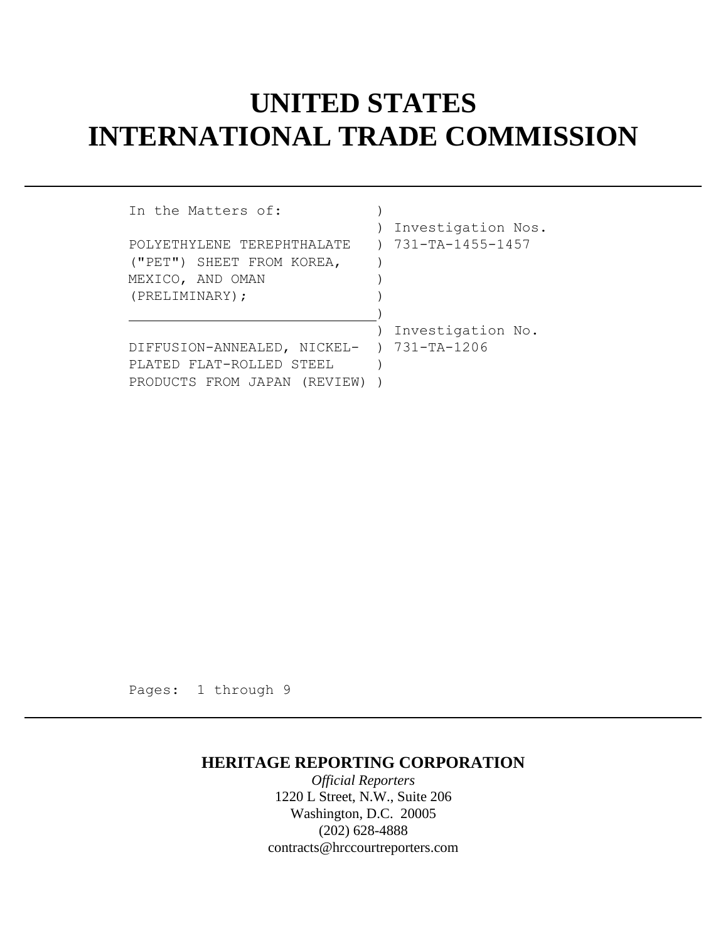## **UNITED STATES INTERNATIONAL TRADE COMMISSION**

| In the Matters of:              |                    |
|---------------------------------|--------------------|
|                                 | Investigation Nos. |
| POLYETHYLENE TEREPHTHALATE      | 731-TA-1455-1457   |
| ("PET") SHEET FROM KOREA,       |                    |
| MEXICO, AND OMAN                |                    |
| (PRELIMINARY);                  |                    |
|                                 |                    |
|                                 | Investigation No.  |
| DIFFUSION-ANNEALED, NICKEL- )   | 731-TA-1206        |
| PLATED FLAT-ROLLED STEEL        |                    |
| PRODUCTS FROM JAPAN<br>(REVIEW) |                    |

Pages: 1 through 9

## **HERITAGE REPORTING CORPORATION**

*Official Reporters* 1220 L Street, N.W., Suite 206 Washington, D.C. 20005 (202) 628-4888 contracts@hrccourtreporters.com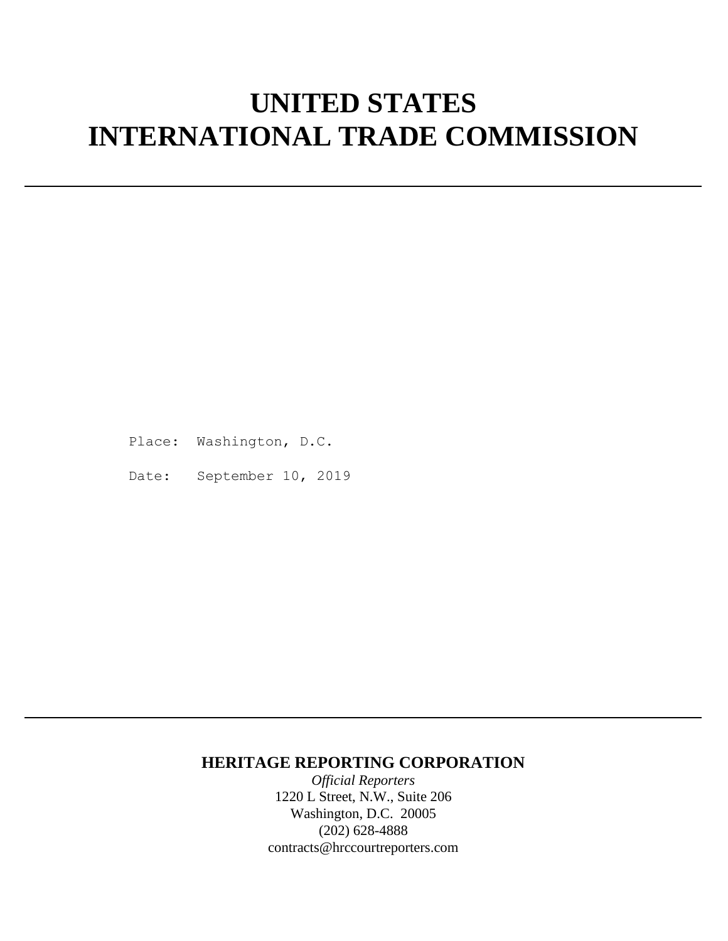# **UNITED STATES INTERNATIONAL TRADE COMMISSION**

Place: Washington, D.C.

Date: September 10, 2019

### **HERITAGE REPORTING CORPORATION**

*Official Reporters* 1220 L Street, N.W., Suite 206 Washington, D.C. 20005 (202) 628-4888 contracts@hrccourtreporters.com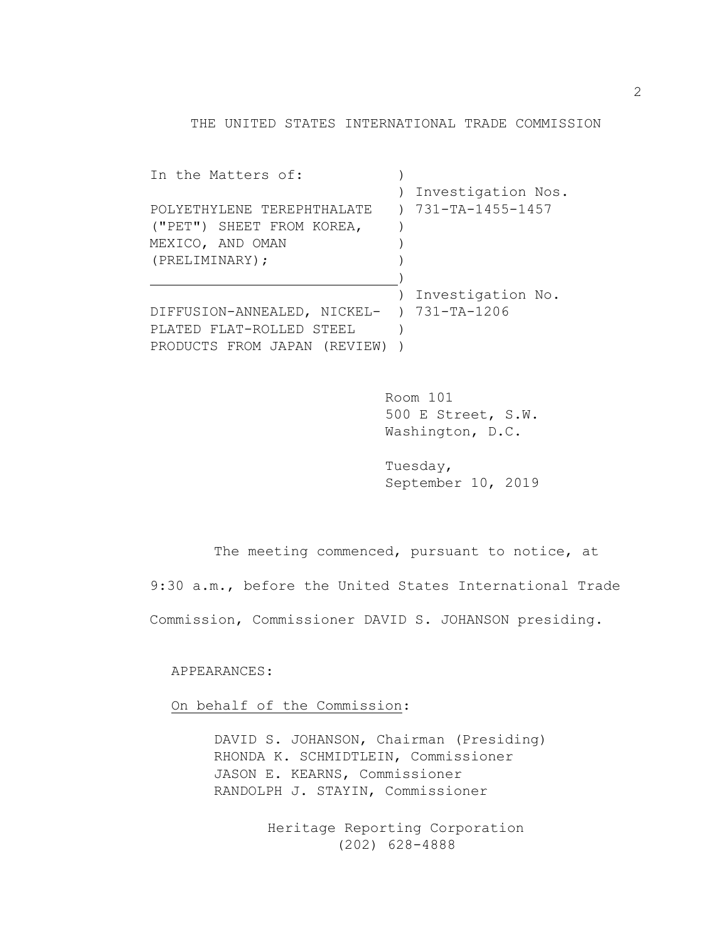THE UNITED STATES INTERNATIONAL TRADE COMMISSION

| In the Matters of:                        |               |                    |
|-------------------------------------------|---------------|--------------------|
|                                           |               | Investigation Nos. |
| POLYETHYLENE TEREPHTHALATE                | $\rightarrow$ | 731-TA-1455-1457   |
| ("PET") SHEET FROM KOREA,                 |               |                    |
| MEXICO, AND OMAN                          |               |                    |
| (PRELIMINARY);                            |               |                    |
|                                           |               |                    |
|                                           |               | Investigation No.  |
| DIFFUSION-ANNEALED, NICKEL- ) 731-TA-1206 |               |                    |
| PLATED FLAT-ROLLED STEEL                  |               |                    |
| PRODUCTS FROM JAPAN (REVIEW)              |               |                    |
|                                           |               |                    |

Room 101 500 E Street, S.W. Washington, D.C.

Tuesday, September 10, 2019

The meeting commenced, pursuant to notice, at 9:30 a.m., before the United States International Trade Commission, Commissioner DAVID S. JOHANSON presiding.

APPEARANCES:

On behalf of the Commission:

DAVID S. JOHANSON, Chairman (Presiding) RHONDA K. SCHMIDTLEIN, Commissioner JASON E. KEARNS, Commissioner RANDOLPH J. STAYIN, Commissioner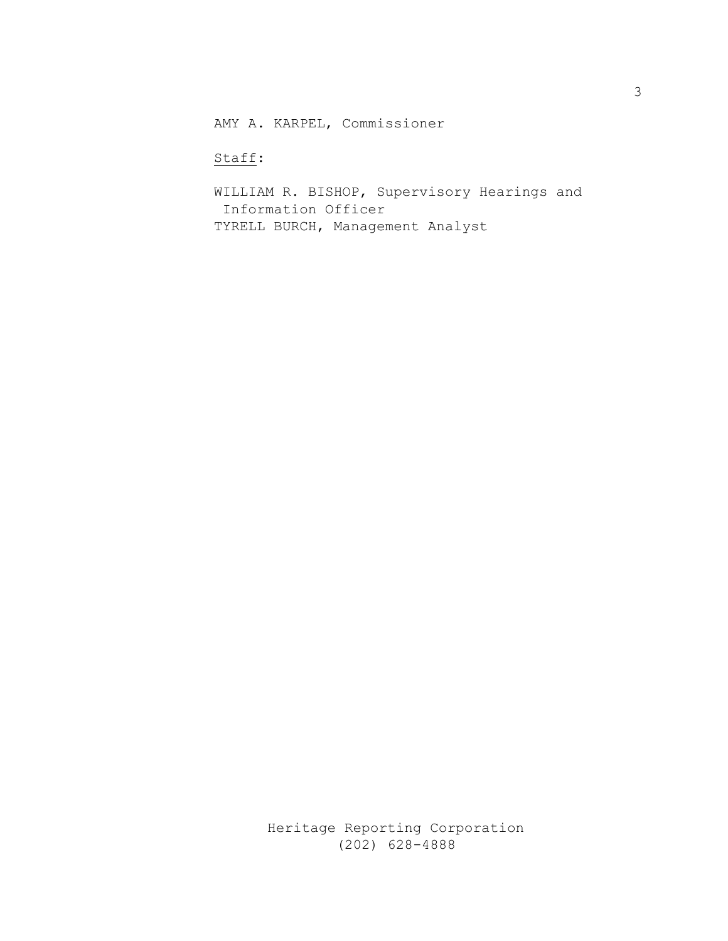AMY A. KARPEL, Commissioner

Staff:

WILLIAM R. BISHOP, Supervisory Hearings and Information Officer TYRELL BURCH, Management Analyst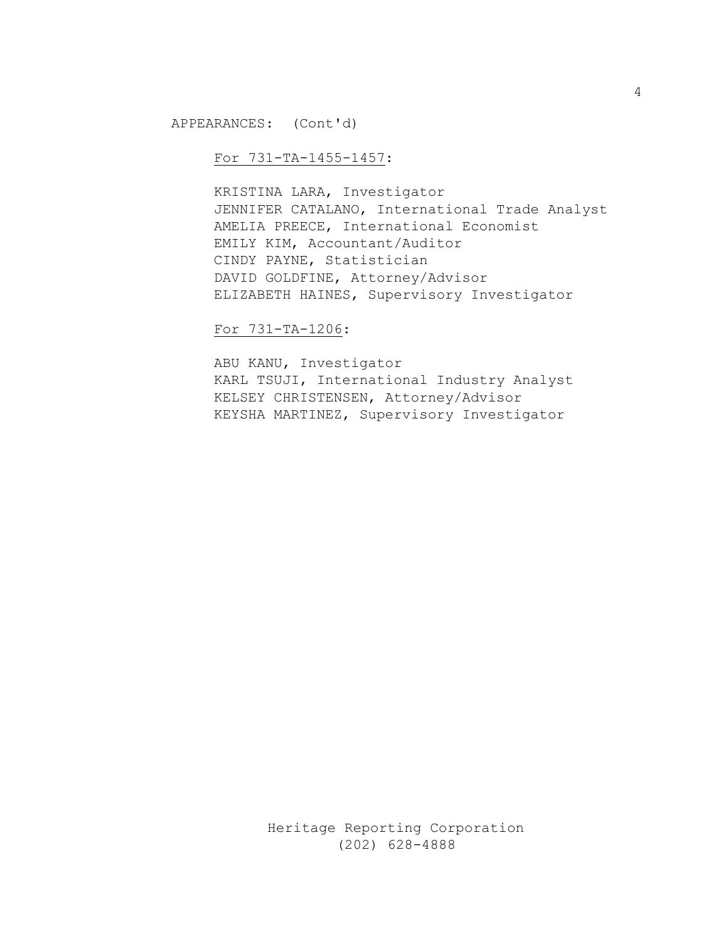APPEARANCES: (Cont'd)

### For 731-TA-1455-1457:

KRISTINA LARA, Investigator JENNIFER CATALANO, International Trade Analyst AMELIA PREECE, International Economist EMILY KIM, Accountant/Auditor CINDY PAYNE, Statistician DAVID GOLDFINE, Attorney/Advisor ELIZABETH HAINES, Supervisory Investigator

#### For 731-TA-1206:

ABU KANU, Investigator KARL TSUJI, International Industry Analyst KELSEY CHRISTENSEN, Attorney/Advisor KEYSHA MARTINEZ, Supervisory Investigator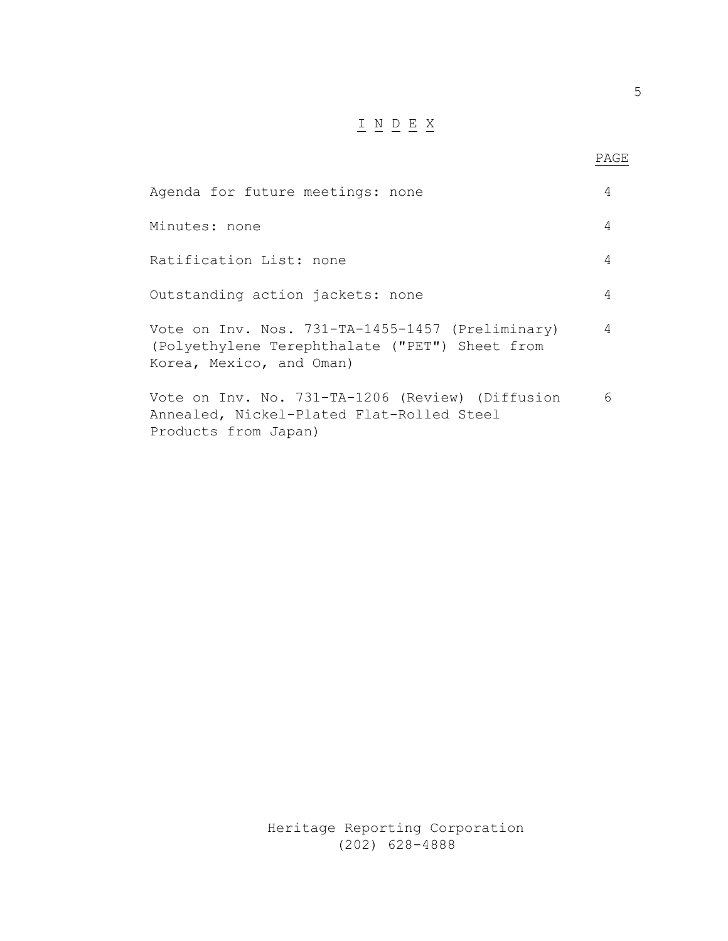## $\underline{\texttt{I}} \underline{\texttt{N}} \underline{\texttt{D}} \underline{\texttt{E}} \underline{\texttt{X}}$

| Agenda for future meetings: none                                                                                               | 4 |
|--------------------------------------------------------------------------------------------------------------------------------|---|
| Minutes: none                                                                                                                  | 4 |
| Ratification List: none                                                                                                        | 4 |
| Outstanding action jackets: none                                                                                               | 4 |
| Vote on Inv. Nos. 731-TA-1455-1457 (Preliminary)<br>(Polyethylene Terephthalate ("PET") Sheet from<br>Korea, Mexico, and Oman) | 4 |
| Vote on Inv. No. 731-TA-1206 (Review) (Diffusion<br>Annealed, Nickel-Plated Flat-Rolled Steel<br>Products from Japan)          | 6 |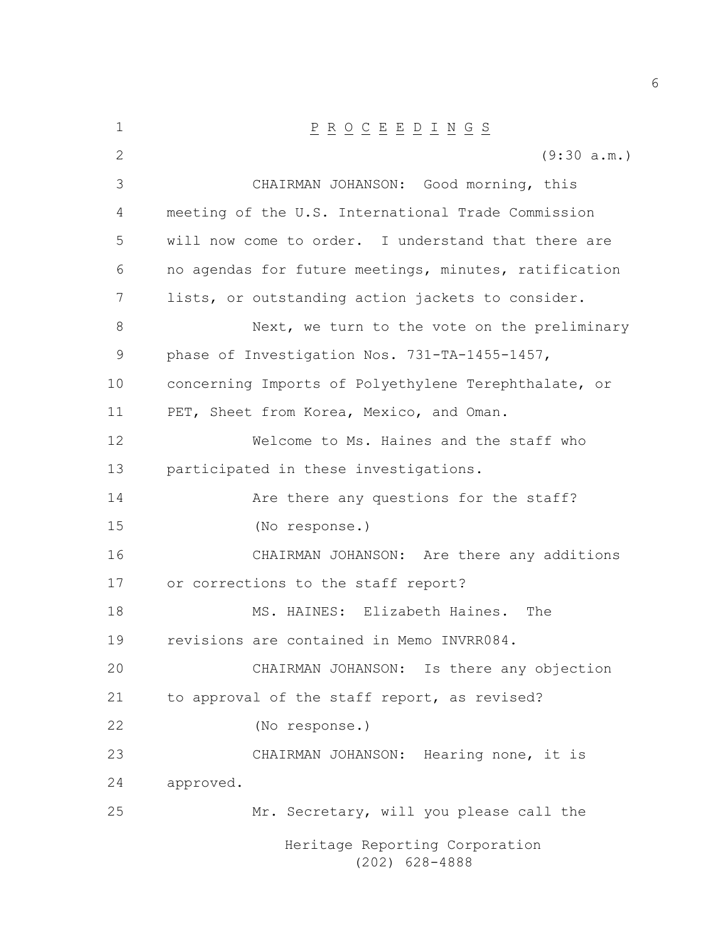| $\mathbf 1$ | $\underline{P} \underline{R} \underline{O} \underline{C} \underline{E} \underline{E} \underline{D} \underline{I} \underline{N} \underline{G} \underline{S}$ |
|-------------|-------------------------------------------------------------------------------------------------------------------------------------------------------------|
| 2           | (9:30 a.m.)                                                                                                                                                 |
| 3           | CHAIRMAN JOHANSON: Good morning, this                                                                                                                       |
| 4           | meeting of the U.S. International Trade Commission                                                                                                          |
| 5           | will now come to order. I understand that there are                                                                                                         |
| 6           | no agendas for future meetings, minutes, ratification                                                                                                       |
| 7           | lists, or outstanding action jackets to consider.                                                                                                           |
| 8           | Next, we turn to the vote on the preliminary                                                                                                                |
| 9           | phase of Investigation Nos. 731-TA-1455-1457,                                                                                                               |
| 10          | concerning Imports of Polyethylene Terephthalate, or                                                                                                        |
| 11          | PET, Sheet from Korea, Mexico, and Oman.                                                                                                                    |
| 12          | Welcome to Ms. Haines and the staff who                                                                                                                     |
| 13          | participated in these investigations.                                                                                                                       |
| 14          | Are there any questions for the staff?                                                                                                                      |
| 15          | (No response.)                                                                                                                                              |
| 16          | CHAIRMAN JOHANSON: Are there any additions                                                                                                                  |
| 17          | or corrections to the staff report?                                                                                                                         |
| 18          | MS. HAINES: Elizabeth Haines. The                                                                                                                           |
| 19          | revisions are contained in Memo INVRR084.                                                                                                                   |
| 20          | CHAIRMAN JOHANSON: Is there any objection                                                                                                                   |
| 21          | to approval of the staff report, as revised?                                                                                                                |
| 22          | (No response.)                                                                                                                                              |
| 23          | CHAIRMAN JOHANSON: Hearing none, it is                                                                                                                      |
| 24          | approved.                                                                                                                                                   |
| 25          | Mr. Secretary, will you please call the                                                                                                                     |
|             | Heritage Reporting Corporation<br>$(202)$ 628-4888                                                                                                          |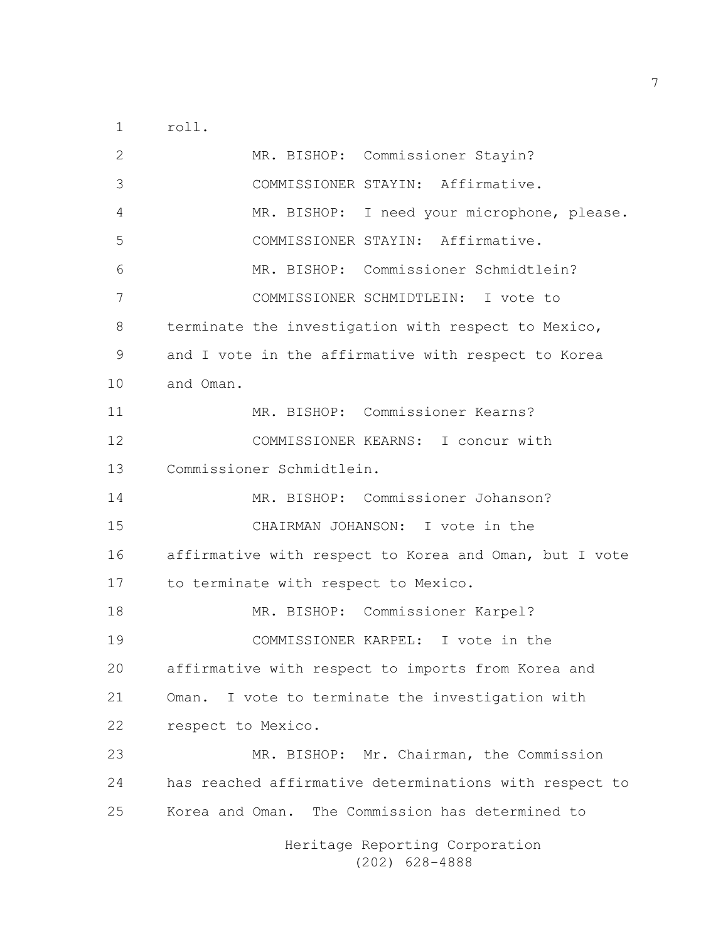roll.

Heritage Reporting Corporation MR. BISHOP: Commissioner Stayin? COMMISSIONER STAYIN: Affirmative. MR. BISHOP: I need your microphone, please. COMMISSIONER STAYIN: Affirmative. MR. BISHOP: Commissioner Schmidtlein? COMMISSIONER SCHMIDTLEIN: I vote to terminate the investigation with respect to Mexico, and I vote in the affirmative with respect to Korea and Oman. MR. BISHOP: Commissioner Kearns? COMMISSIONER KEARNS: I concur with Commissioner Schmidtlein. MR. BISHOP: Commissioner Johanson? CHAIRMAN JOHANSON: I vote in the affirmative with respect to Korea and Oman, but I vote to terminate with respect to Mexico. MR. BISHOP: Commissioner Karpel? COMMISSIONER KARPEL: I vote in the affirmative with respect to imports from Korea and Oman. I vote to terminate the investigation with respect to Mexico. MR. BISHOP: Mr. Chairman, the Commission has reached affirmative determinations with respect to Korea and Oman. The Commission has determined to

(202) 628-4888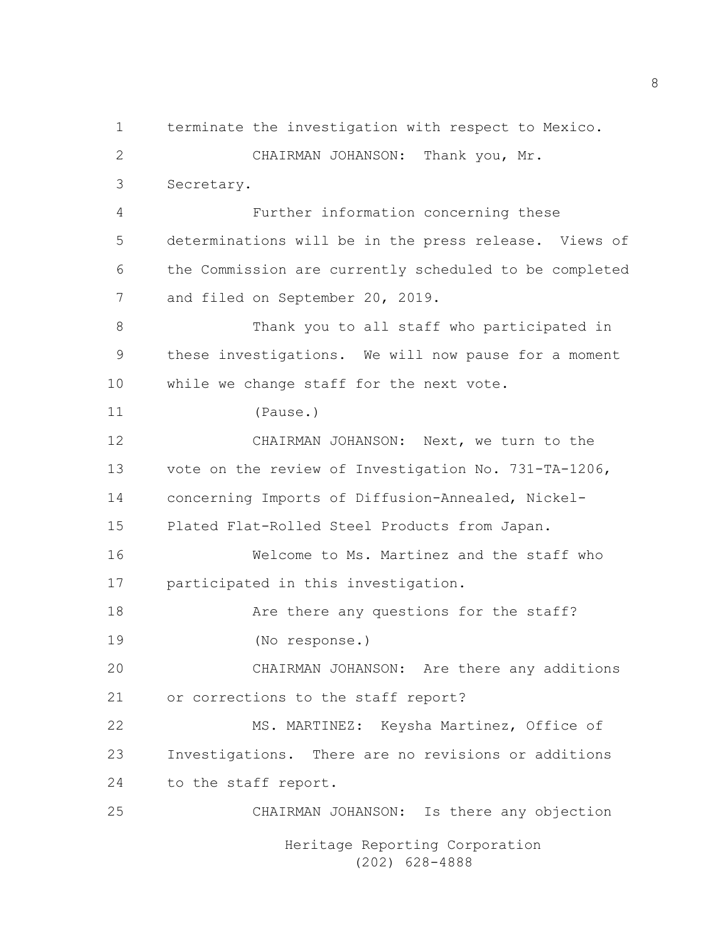Heritage Reporting Corporation (202) 628-4888 terminate the investigation with respect to Mexico. CHAIRMAN JOHANSON: Thank you, Mr. Secretary. Further information concerning these determinations will be in the press release. Views of the Commission are currently scheduled to be completed and filed on September 20, 2019. Thank you to all staff who participated in these investigations. We will now pause for a moment while we change staff for the next vote. (Pause.) CHAIRMAN JOHANSON: Next, we turn to the vote on the review of Investigation No. 731-TA-1206, concerning Imports of Diffusion-Annealed, Nickel- Plated Flat-Rolled Steel Products from Japan. Welcome to Ms. Martinez and the staff who participated in this investigation. **Are there any questions for the staff?**  (No response.) CHAIRMAN JOHANSON: Are there any additions or corrections to the staff report? MS. MARTINEZ: Keysha Martinez, Office of Investigations. There are no revisions or additions to the staff report. CHAIRMAN JOHANSON: Is there any objection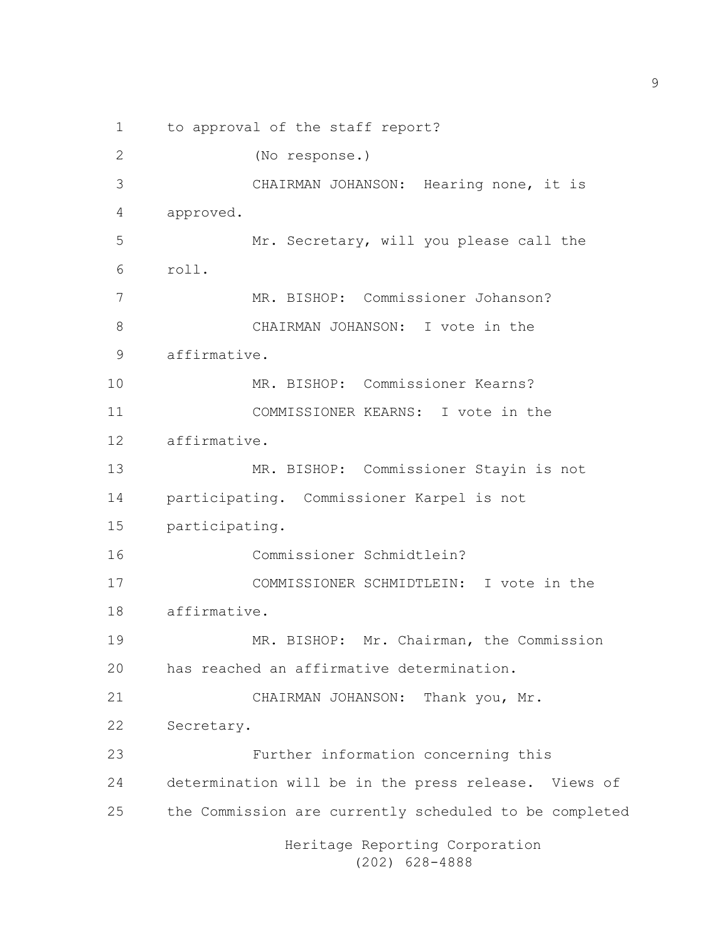Heritage Reporting Corporation (202) 628-4888 to approval of the staff report? (No response.) CHAIRMAN JOHANSON: Hearing none, it is approved. Mr. Secretary, will you please call the roll. MR. BISHOP: Commissioner Johanson? CHAIRMAN JOHANSON: I vote in the affirmative. MR. BISHOP: Commissioner Kearns? COMMISSIONER KEARNS: I vote in the affirmative. MR. BISHOP: Commissioner Stayin is not participating. Commissioner Karpel is not participating. Commissioner Schmidtlein? COMMISSIONER SCHMIDTLEIN: I vote in the affirmative. MR. BISHOP: Mr. Chairman, the Commission has reached an affirmative determination. CHAIRMAN JOHANSON: Thank you, Mr. Secretary. Further information concerning this determination will be in the press release. Views of the Commission are currently scheduled to be completed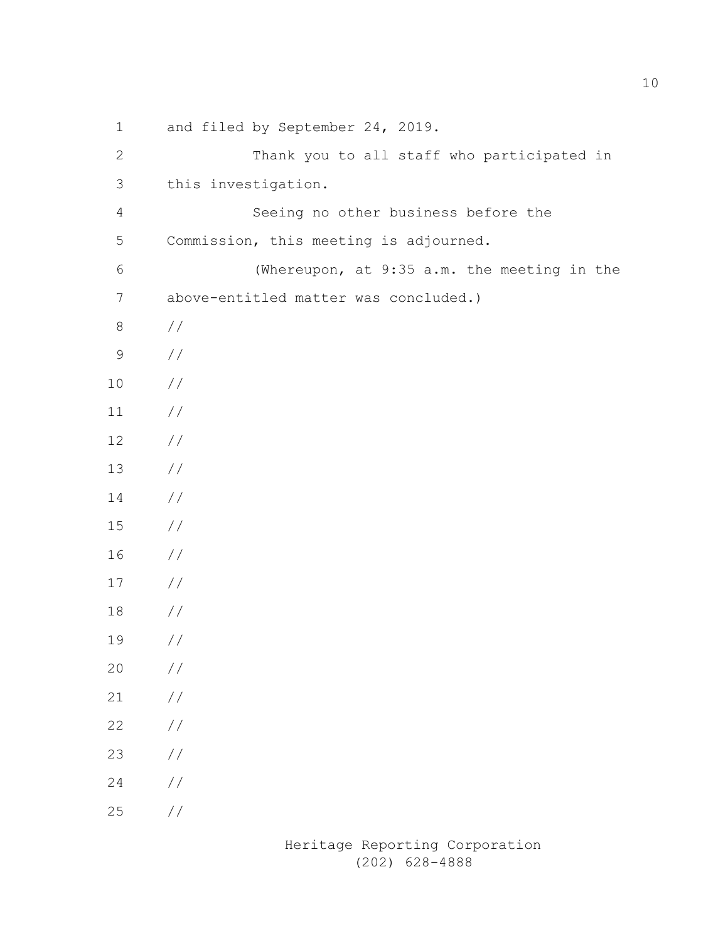| $\mathbf 1$    | and filed by September 24, 2019.            |
|----------------|---------------------------------------------|
| 2              | Thank you to all staff who participated in  |
| 3              | this investigation.                         |
| $\overline{4}$ | Seeing no other business before the         |
| $\mathsf S$    | Commission, this meeting is adjourned.      |
| $6\,$          | (Whereupon, at 9:35 a.m. the meeting in the |
| 7              | above-entitled matter was concluded.)       |
| 8              | //                                          |
| $\mathsf 9$    | //                                          |
| $10\,$         | //                                          |
| 11             | //                                          |
| 12             | //                                          |
| 13             | //                                          |
| 14             | //                                          |
| 15             | //                                          |
| 16             | //                                          |
| 17             | //                                          |
| 18             | //                                          |
| 19             | //                                          |
| 20             | //                                          |
| 21             | $\!/\!$                                     |
| 22             | $\!/\!$                                     |
| 23             | $\!/\!$                                     |
| 24             | $\!/\!$                                     |
| 25             | $\frac{1}{2}$                               |
|                |                                             |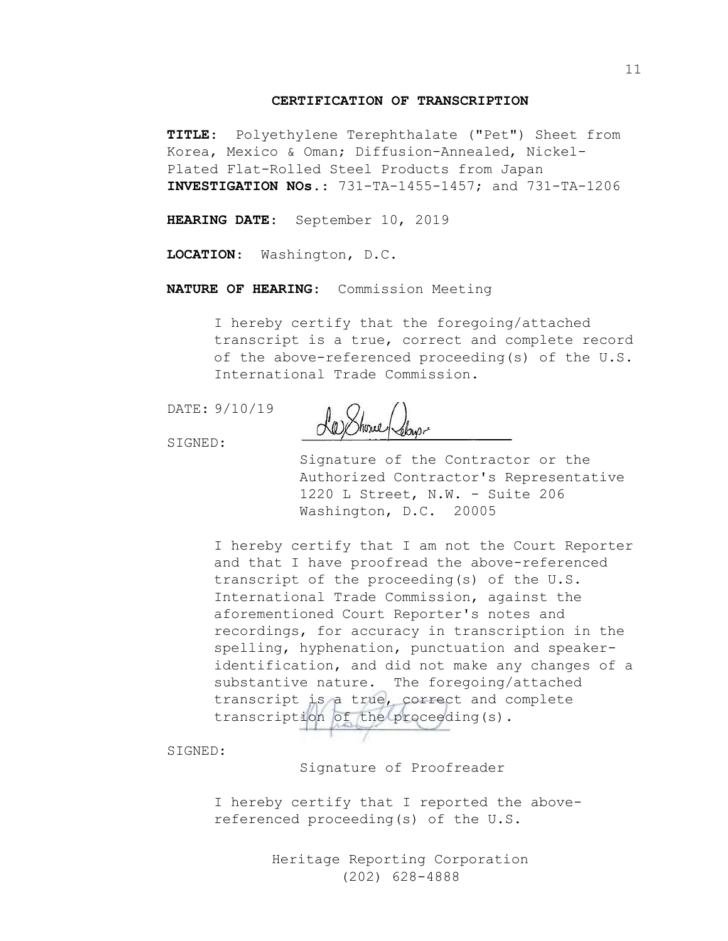#### **CERTIFICATION OF TRANSCRIPTION**

**TITLE**: Polyethylene Terephthalate ("Pet") Sheet from Korea, Mexico & Oman; Diffusion-Annealed, Nickel-Plated Flat-Rolled Steel Products from Japan **INVESTIGATION NOs.**: 731-TA-1455-1457; and 731-TA-1206

**HEARING DATE**: September 10, 2019

**LOCATION**: Washington, D.C.

**NATURE OF HEARING**: Commission Meeting

I hereby certify that the foregoing/attached transcript is a true, correct and complete record of the above-referenced proceeding(s) of the U.S. International Trade Commission.

DATE: 9/10/19

La Showe Rebyer

SIGNED:

Signature of the Contractor or the Authorized Contractor's Representative 1220 L Street, N.W. - Suite 206 Washington, D.C. 20005

I hereby certify that I am not the Court Reporter and that I have proofread the above-referenced transcript of the proceeding(s) of the U.S. International Trade Commission, against the aforementioned Court Reporter's notes and recordings, for accuracy in transcription in the spelling, hyphenation, punctuation and speakeridentification, and did not make any changes of a substantive nature. The foregoing/attached transcript is a true, correct and complete transcription of the proceeding(s).

SIGNED:

Signature of Proofreader

I hereby certify that I reported the abovereferenced proceeding(s) of the U.S.